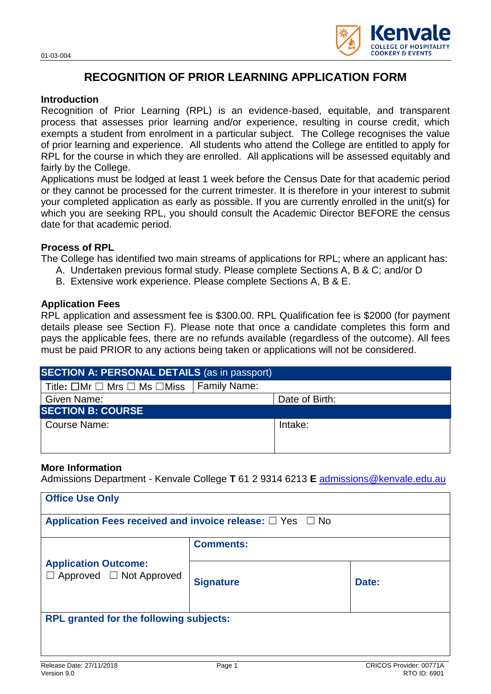

# **RECOGNITION OF PRIOR LEARNING APPLICATION FORM**

### **Introduction**

Recognition of Prior Learning (RPL) is an evidence-based, equitable, and transparent process that assesses prior learning and/or experience, resulting in course credit, which exempts a student from enrolment in a particular subject. The College recognises the value of prior learning and experience. All students who attend the College are entitled to apply for RPL for the course in which they are enrolled. All applications will be assessed equitably and fairly by the College.

Applications must be lodged at least 1 week before the Census Date for that academic period or they cannot be processed for the current trimester. It is therefore in your interest to submit your completed application as early as possible. If you are currently enrolled in the unit(s) for which you are seeking RPL, you should consult the Academic Director BEFORE the census date for that academic period.

### **Process of RPL**

The College has identified two main streams of applications for RPL; where an applicant has:

- A. Undertaken previous formal study. Please complete Sections A, B & C; and/or D
- B. Extensive work experience. Please complete Sections A, B & E.

### **Application Fees**

RPL application and assessment fee is \$300.00. RPL Qualification fee is \$2000 (for payment details please see Section F). Please note that once a candidate completes this form and pays the applicable fees, there are no refunds available (regardless of the outcome). All fees must be paid PRIOR to any actions being taken or applications will not be considered.

| <b>SECTION A: PERSONAL DETAILS (as in passport)</b>                          |  |                |  |  |
|------------------------------------------------------------------------------|--|----------------|--|--|
| Title: $\square$ Mr $\square$ Mrs $\square$ Ms $\square$ Miss   Family Name: |  |                |  |  |
| Given Name:                                                                  |  | Date of Birth: |  |  |
| <b>SECTION B: COURSE</b>                                                     |  |                |  |  |
| Course Name:                                                                 |  | Intake:        |  |  |
|                                                                              |  |                |  |  |
|                                                                              |  |                |  |  |

### **More Information**

Admissions Department - Kenvale College **T** 61 2 9314 6213 **E** [admissions@kenvale.edu.au](mailto:admissions@kenvale.edu.au)

| <b>Office Use Only</b>                                              |                  |       |  |  |
|---------------------------------------------------------------------|------------------|-------|--|--|
| Application Fees received and invoice release: $\Box$ Yes $\Box$ No |                  |       |  |  |
|                                                                     | <b>Comments:</b> |       |  |  |
| <b>Application Outcome:</b><br>$\Box$ Approved $\Box$ Not Approved  | <b>Signature</b> | Date: |  |  |
| <b>RPL granted for the following subjects:</b>                      |                  |       |  |  |
|                                                                     |                  |       |  |  |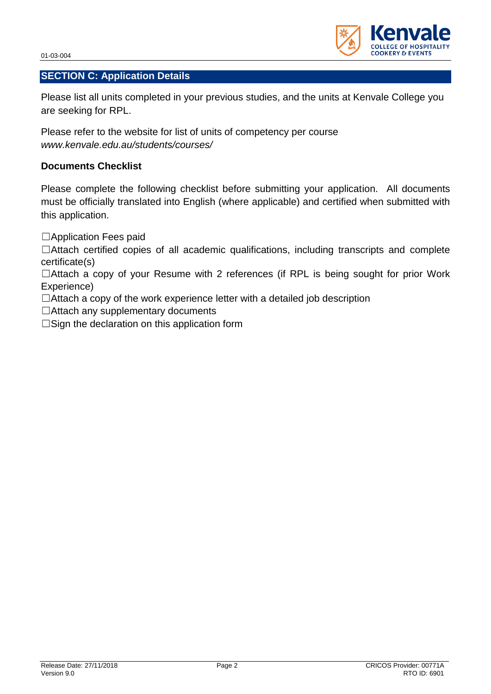01-03-004



Please list all units completed in your previous studies, and the units at Kenvale College you are seeking for RPL.

Please refer to the website for list of units of competency per course *[www.kenvale.edu.au/students/courses/](http://kenvale.edu.au/students/courses/)*

### **Documents Checklist**

Please complete the following checklist before submitting your application. All documents must be officially translated into English (where applicable) and certified when submitted with this application.

□Application Fees paid

☐Attach certified copies of all academic qualifications, including transcripts and complete certificate(s)

□Attach a copy of your Resume with 2 references (if RPL is being sought for prior Work Experience)

 $\Box$ Attach a copy of the work experience letter with a detailed job description

☐Attach any supplementary documents

□Sign the declaration on this application form

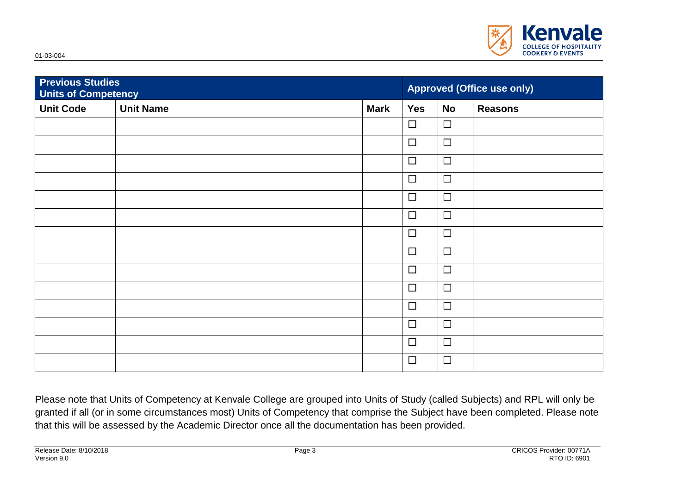

| <b>Previous Studies</b><br><b>Units of Competency</b> |                  | <b>Approved (Office use only)</b> |            |           |                |
|-------------------------------------------------------|------------------|-----------------------------------|------------|-----------|----------------|
| <b>Unit Code</b>                                      | <b>Unit Name</b> | <b>Mark</b>                       | <b>Yes</b> | <b>No</b> | <b>Reasons</b> |
|                                                       |                  |                                   | $\Box$     | $\Box$    |                |
|                                                       |                  |                                   | $\Box$     | $\Box$    |                |
|                                                       |                  |                                   | $\Box$     | $\Box$    |                |
|                                                       |                  |                                   | $\Box$     | $\Box$    |                |
|                                                       |                  |                                   | $\Box$     | $\Box$    |                |
|                                                       |                  |                                   | $\Box$     | $\Box$    |                |
|                                                       |                  |                                   | $\Box$     | $\Box$    |                |
|                                                       |                  |                                   | $\Box$     | $\Box$    |                |
|                                                       |                  |                                   | $\Box$     | $\Box$    |                |
|                                                       |                  |                                   | $\Box$     | $\Box$    |                |
|                                                       |                  |                                   | $\Box$     | $\Box$    |                |
|                                                       |                  |                                   | $\Box$     | $\Box$    |                |
|                                                       |                  |                                   | $\Box$     | $\Box$    |                |
|                                                       |                  |                                   | $\Box$     | $\Box$    |                |

Please note that Units of Competency at Kenvale College are grouped into Units of Study (called Subjects) and RPL will only be granted if all (or in some circumstances most) Units of Competency that comprise the Subject have been completed. Please note that this will be assessed by the Academic Director once all the documentation has been provided.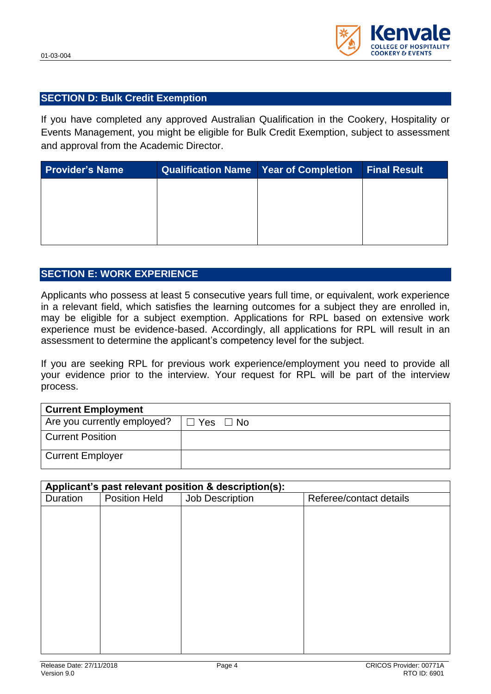

### **SECTION D: Bulk Credit Exemption**

If you have completed any approved Australian Qualification in the Cookery, Hospitality or Events Management, you might be eligible for Bulk Credit Exemption, subject to assessment and approval from the Academic Director.

| <b>Provider's Name</b> | Qualification Name   Year of Completion   Final Result |  |
|------------------------|--------------------------------------------------------|--|
|                        |                                                        |  |
|                        |                                                        |  |
|                        |                                                        |  |
|                        |                                                        |  |

### **SECTION E: WORK EXPERIENCE**

Applicants who possess at least 5 consecutive vears full time, or equivalent, work experience in a relevant field, which satisfies the learning outcomes for a subject they are enrolled in, may be eligible for a subject exemption. Applications for RPL based on extensive work experience must be evidence-based. Accordingly, all applications for RPL will result in an assessment to determine the applicant's competency level for the subject.

If you are seeking RPL for previous work experience/employment you need to provide all your evidence prior to the interview. Your request for RPL will be part of the interview process.

| <b>Current Employment</b>   |               |  |  |
|-----------------------------|---------------|--|--|
| Are you currently employed? | Yes $\Box$ No |  |  |
| <b>Current Position</b>     |               |  |  |
| <b>Current Employer</b>     |               |  |  |

| Applicant's past relevant position & description(s): |                      |                 |                         |  |
|------------------------------------------------------|----------------------|-----------------|-------------------------|--|
| Duration                                             | <b>Position Held</b> | Job Description | Referee/contact details |  |
|                                                      |                      |                 |                         |  |
|                                                      |                      |                 |                         |  |
|                                                      |                      |                 |                         |  |
|                                                      |                      |                 |                         |  |
|                                                      |                      |                 |                         |  |
|                                                      |                      |                 |                         |  |
|                                                      |                      |                 |                         |  |
|                                                      |                      |                 |                         |  |
|                                                      |                      |                 |                         |  |
|                                                      |                      |                 |                         |  |
|                                                      |                      |                 |                         |  |
|                                                      |                      |                 |                         |  |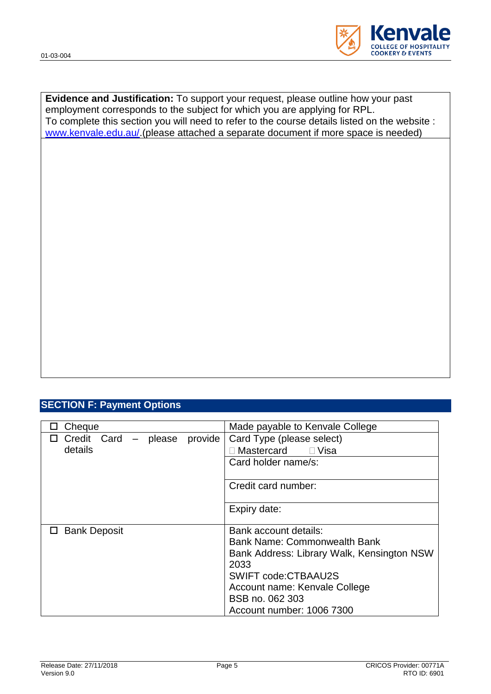

**Evidence and Justification:** To support your request, please outline how your past employment corresponds to the subject for which you are applying for RPL. To complete this section you will need to refer to the course details listed on the website : [www.kenvale.edu.au/.](http://www.kenvale.edu.au/)(please attached a separate document if more space is needed)

### **SECTION F: Payment Options**

| Cheque               |         | Made payable to Kenvale College            |  |
|----------------------|---------|--------------------------------------------|--|
| Credit Card - please | provide | Card Type (please select)                  |  |
| details              |         | Mastercard<br>$\Box$ Visa                  |  |
|                      |         | Card holder name/s:                        |  |
|                      |         | Credit card number:                        |  |
|                      |         | Expiry date:                               |  |
| □ Bank Deposit       |         | Bank account details:                      |  |
|                      |         | <b>Bank Name: Commonwealth Bank</b>        |  |
|                      |         | Bank Address: Library Walk, Kensington NSW |  |
|                      |         | 2033                                       |  |
|                      |         | <b>SWIFT code:CTBAAU2S</b>                 |  |
|                      |         | Account name: Kenvale College              |  |
|                      |         | BSB no. 062 303                            |  |
|                      |         | Account number: 1006 7300                  |  |